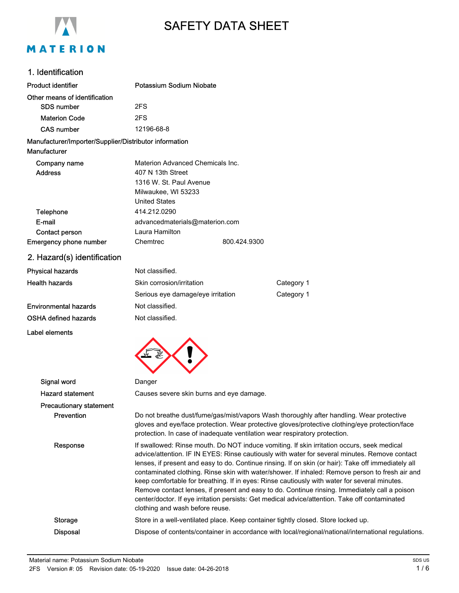

# SAFETY DATA SHEET

### 1. Identification

| <b>Product identifier</b>                                              | Potassium Sodium Niobate                                                                                                                                                                                                                                                                                                                                                                                                                                                                                                                                                                                                                                                                                                                    |                                          |                                                                                                                                                                                                                                                                          |
|------------------------------------------------------------------------|---------------------------------------------------------------------------------------------------------------------------------------------------------------------------------------------------------------------------------------------------------------------------------------------------------------------------------------------------------------------------------------------------------------------------------------------------------------------------------------------------------------------------------------------------------------------------------------------------------------------------------------------------------------------------------------------------------------------------------------------|------------------------------------------|--------------------------------------------------------------------------------------------------------------------------------------------------------------------------------------------------------------------------------------------------------------------------|
| Other means of identification                                          |                                                                                                                                                                                                                                                                                                                                                                                                                                                                                                                                                                                                                                                                                                                                             |                                          |                                                                                                                                                                                                                                                                          |
| <b>SDS number</b>                                                      | 2FS                                                                                                                                                                                                                                                                                                                                                                                                                                                                                                                                                                                                                                                                                                                                         |                                          |                                                                                                                                                                                                                                                                          |
| <b>Materion Code</b>                                                   | 2FS                                                                                                                                                                                                                                                                                                                                                                                                                                                                                                                                                                                                                                                                                                                                         |                                          |                                                                                                                                                                                                                                                                          |
| <b>CAS number</b>                                                      | 12196-68-8                                                                                                                                                                                                                                                                                                                                                                                                                                                                                                                                                                                                                                                                                                                                  |                                          |                                                                                                                                                                                                                                                                          |
| Manufacturer/Importer/Supplier/Distributor information<br>Manufacturer |                                                                                                                                                                                                                                                                                                                                                                                                                                                                                                                                                                                                                                                                                                                                             |                                          |                                                                                                                                                                                                                                                                          |
| Company name<br><b>Address</b>                                         | Materion Advanced Chemicals Inc.<br>407 N 13th Street<br>1316 W. St. Paul Avenue<br>Milwaukee, WI 53233<br><b>United States</b>                                                                                                                                                                                                                                                                                                                                                                                                                                                                                                                                                                                                             |                                          |                                                                                                                                                                                                                                                                          |
| Telephone                                                              | 414.212.0290                                                                                                                                                                                                                                                                                                                                                                                                                                                                                                                                                                                                                                                                                                                                |                                          |                                                                                                                                                                                                                                                                          |
| E-mail                                                                 | advancedmaterials@materion.com                                                                                                                                                                                                                                                                                                                                                                                                                                                                                                                                                                                                                                                                                                              |                                          |                                                                                                                                                                                                                                                                          |
| Contact person                                                         | Laura Hamilton                                                                                                                                                                                                                                                                                                                                                                                                                                                                                                                                                                                                                                                                                                                              |                                          |                                                                                                                                                                                                                                                                          |
| <b>Emergency phone number</b>                                          | Chemtrec                                                                                                                                                                                                                                                                                                                                                                                                                                                                                                                                                                                                                                                                                                                                    | 800.424.9300                             |                                                                                                                                                                                                                                                                          |
| 2. Hazard(s) identification                                            |                                                                                                                                                                                                                                                                                                                                                                                                                                                                                                                                                                                                                                                                                                                                             |                                          |                                                                                                                                                                                                                                                                          |
| <b>Physical hazards</b>                                                | Not classified.                                                                                                                                                                                                                                                                                                                                                                                                                                                                                                                                                                                                                                                                                                                             |                                          |                                                                                                                                                                                                                                                                          |
| <b>Health hazards</b>                                                  | Skin corrosion/irritation                                                                                                                                                                                                                                                                                                                                                                                                                                                                                                                                                                                                                                                                                                                   |                                          | Category 1                                                                                                                                                                                                                                                               |
|                                                                        | Serious eye damage/eye irritation                                                                                                                                                                                                                                                                                                                                                                                                                                                                                                                                                                                                                                                                                                           |                                          | Category 1                                                                                                                                                                                                                                                               |
| <b>Environmental hazards</b>                                           | Not classified.                                                                                                                                                                                                                                                                                                                                                                                                                                                                                                                                                                                                                                                                                                                             |                                          |                                                                                                                                                                                                                                                                          |
| OSHA defined hazards                                                   | Not classified.                                                                                                                                                                                                                                                                                                                                                                                                                                                                                                                                                                                                                                                                                                                             |                                          |                                                                                                                                                                                                                                                                          |
| Label elements                                                         |                                                                                                                                                                                                                                                                                                                                                                                                                                                                                                                                                                                                                                                                                                                                             |                                          |                                                                                                                                                                                                                                                                          |
|                                                                        |                                                                                                                                                                                                                                                                                                                                                                                                                                                                                                                                                                                                                                                                                                                                             |                                          |                                                                                                                                                                                                                                                                          |
| Signal word                                                            | Danger                                                                                                                                                                                                                                                                                                                                                                                                                                                                                                                                                                                                                                                                                                                                      |                                          |                                                                                                                                                                                                                                                                          |
| <b>Hazard statement</b>                                                |                                                                                                                                                                                                                                                                                                                                                                                                                                                                                                                                                                                                                                                                                                                                             | Causes severe skin burns and eye damage. |                                                                                                                                                                                                                                                                          |
| <b>Precautionary statement</b>                                         |                                                                                                                                                                                                                                                                                                                                                                                                                                                                                                                                                                                                                                                                                                                                             |                                          |                                                                                                                                                                                                                                                                          |
| Prevention                                                             |                                                                                                                                                                                                                                                                                                                                                                                                                                                                                                                                                                                                                                                                                                                                             |                                          | Do not breathe dust/fume/gas/mist/vapors Wash thoroughly after handling. Wear protective<br>gloves and eye/face protection. Wear protective gloves/protective clothing/eye protection/face<br>protection. In case of inadequate ventilation wear respiratory protection. |
| Response                                                               | If swallowed: Rinse mouth. Do NOT induce vomiting. If skin irritation occurs, seek medical<br>advice/attention. IF IN EYES: Rinse cautiously with water for several minutes. Remove contact<br>lenses, if present and easy to do. Continue rinsing. If on skin (or hair): Take off immediately all<br>contaminated clothing. Rinse skin with water/shower. If inhaled: Remove person to fresh air and<br>keep comfortable for breathing. If in eyes: Rinse cautiously with water for several minutes.<br>Remove contact lenses, if present and easy to do. Continue rinsing. Immediately call a poison<br>center/doctor. If eye irritation persists: Get medical advice/attention. Take off contaminated<br>clothing and wash before reuse. |                                          |                                                                                                                                                                                                                                                                          |
| <b>Storage</b>                                                         |                                                                                                                                                                                                                                                                                                                                                                                                                                                                                                                                                                                                                                                                                                                                             |                                          | Store in a well-ventilated place. Keep container tightly closed. Store locked up.                                                                                                                                                                                        |

Disposal Dispose of contents/container in accordance with local/regional/national/international regulations.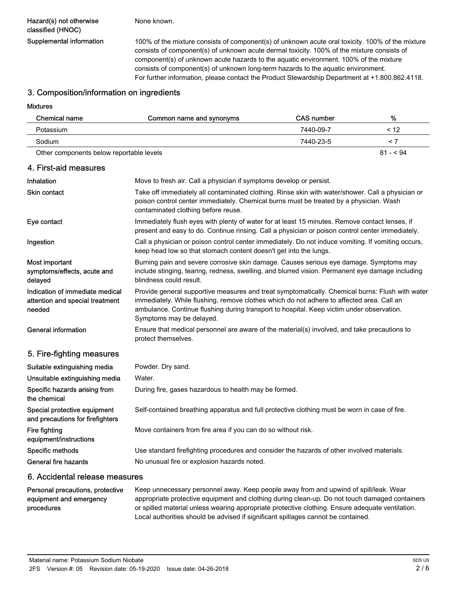Hazard(s) not otherwise classified (HNOC)

None known.

Supplemental information 100% of the mixture consists of component(s) of unknown acute oral toxicity. 100% of the mixture consists of component(s) of unknown acute dermal toxicity. 100% of the mixture consists of component(s) of unknown acute hazards to the aquatic environment. 100% of the mixture consists of component(s) of unknown long-term hazards to the aquatic environment. For further information, please contact the Product Stewardship Department at +1.800.862.4118.

Ensure that medical personnel are aware of the material(s) involved, and take precautions to

### 3. Composition/information on ingredients

#### Mixtures

| <b>Chemical name</b>                                                         | Common name and synonyms                                                                                                                                                                                                                                                                  | <b>CAS number</b> | %         |
|------------------------------------------------------------------------------|-------------------------------------------------------------------------------------------------------------------------------------------------------------------------------------------------------------------------------------------------------------------------------------------|-------------------|-----------|
| Potassium                                                                    |                                                                                                                                                                                                                                                                                           | 7440-09-7         | < 12      |
| Sodium                                                                       |                                                                                                                                                                                                                                                                                           | 7440-23-5         | $\leq 7$  |
| Other components below reportable levels                                     |                                                                                                                                                                                                                                                                                           |                   | $81 - 94$ |
| 4. First-aid measures                                                        |                                                                                                                                                                                                                                                                                           |                   |           |
| Inhalation                                                                   | Move to fresh air. Call a physician if symptoms develop or persist.                                                                                                                                                                                                                       |                   |           |
| <b>Skin contact</b>                                                          | Take off immediately all contaminated clothing. Rinse skin with water/shower. Call a physician or<br>poison control center immediately. Chemical burns must be treated by a physician. Wash<br>contaminated clothing before reuse.                                                        |                   |           |
| Eye contact                                                                  | Immediately flush eyes with plenty of water for at least 15 minutes. Remove contact lenses, if<br>present and easy to do. Continue rinsing. Call a physician or poison control center immediately.                                                                                        |                   |           |
| Ingestion                                                                    | Call a physician or poison control center immediately. Do not induce vomiting. If vomiting occurs,<br>keep head low so that stomach content doesn't get into the lungs.                                                                                                                   |                   |           |
| Most important<br>symptoms/effects, acute and<br>delayed                     | Burning pain and severe corrosive skin damage. Causes serious eye damage. Symptoms may<br>include stinging, tearing, redness, swelling, and blurred vision. Permanent eye damage including<br>blindness could result.                                                                     |                   |           |
| Indication of immediate medical<br>attention and special treatment<br>needed | Provide general supportive measures and treat symptomatically. Chemical burns: Flush with water<br>immediately. While flushing, remove clothes which do not adhere to affected area. Call an<br>ambulance. Continue flushing during transport to hospital. Keep victim under observation. |                   |           |

General information

### 5. Fire-fighting measures

| Suitable extinguishing media                                     | Powder. Dry sand.                                                                             |
|------------------------------------------------------------------|-----------------------------------------------------------------------------------------------|
| Unsuitable extinguishing media                                   | Water.                                                                                        |
| Specific hazards arising from<br>the chemical                    | During fire, gases hazardous to health may be formed.                                         |
| Special protective equipment<br>and precautions for firefighters | Self-contained breathing apparatus and full protective clothing must be worn in case of fire. |
| Fire fighting<br>equipment/instructions                          | Move containers from fire area if you can do so without risk.                                 |
| Specific methods                                                 | Use standard firefighting procedures and consider the hazards of other involved materials.    |
| General fire hazards                                             | No unusual fire or explosion hazards noted.                                                   |
|                                                                  |                                                                                               |

Symptoms may be delayed.

protect themselves.

### 6. Accidental release measures

Keep unnecessary personnel away. Keep people away from and upwind of spill/leak. Wear appropriate protective equipment and clothing during clean-up. Do not touch damaged containers or spilled material unless wearing appropriate protective clothing. Ensure adequate ventilation. Local authorities should be advised if significant spillages cannot be contained. Personal precautions, protective equipment and emergency procedures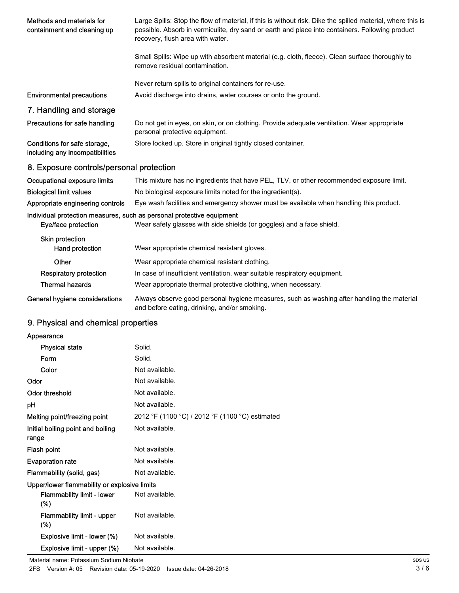| Methods and materials for<br>containment and cleaning up                                     | Large Spills: Stop the flow of material, if this is without risk. Dike the spilled material, where this is<br>possible. Absorb in vermiculite, dry sand or earth and place into containers. Following product<br>recovery, flush area with water. |
|----------------------------------------------------------------------------------------------|---------------------------------------------------------------------------------------------------------------------------------------------------------------------------------------------------------------------------------------------------|
|                                                                                              | Small Spills: Wipe up with absorbent material (e.g. cloth, fleece). Clean surface thoroughly to<br>remove residual contamination.                                                                                                                 |
|                                                                                              | Never return spills to original containers for re-use.                                                                                                                                                                                            |
| <b>Environmental precautions</b>                                                             | Avoid discharge into drains, water courses or onto the ground.                                                                                                                                                                                    |
| 7. Handling and storage                                                                      |                                                                                                                                                                                                                                                   |
| Precautions for safe handling                                                                | Do not get in eyes, on skin, or on clothing. Provide adequate ventilation. Wear appropriate<br>personal protective equipment.                                                                                                                     |
| Conditions for safe storage,<br>including any incompatibilities                              | Store locked up. Store in original tightly closed container.                                                                                                                                                                                      |
| 8. Exposure controls/personal protection                                                     |                                                                                                                                                                                                                                                   |
| Occupational exposure limits                                                                 | This mixture has no ingredients that have PEL, TLV, or other recommended exposure limit.                                                                                                                                                          |
| <b>Biological limit values</b>                                                               | No biological exposure limits noted for the ingredient(s).                                                                                                                                                                                        |
| Appropriate engineering controls                                                             | Eye wash facilities and emergency shower must be available when handling this product.                                                                                                                                                            |
| Individual protection measures, such as personal protective equipment<br>Eye/face protection | Wear safety glasses with side shields (or goggles) and a face shield.                                                                                                                                                                             |
| Skin protection<br>Hand protection                                                           | Wear appropriate chemical resistant gloves.                                                                                                                                                                                                       |
| Other                                                                                        | Wear appropriate chemical resistant clothing.                                                                                                                                                                                                     |
| <b>Respiratory protection</b>                                                                | In case of insufficient ventilation, wear suitable respiratory equipment.                                                                                                                                                                         |
| <b>Thermal hazards</b>                                                                       | Wear appropriate thermal protective clothing, when necessary.                                                                                                                                                                                     |
| General hygiene considerations                                                               | Always observe good personal hygiene measures, such as washing after handling the material<br>and before eating, drinking, and/or smoking.                                                                                                        |

## 9. Physical and chemical properties

| Appearance                                   |                                                 |
|----------------------------------------------|-------------------------------------------------|
| <b>Physical state</b>                        | Solid.                                          |
| Form                                         | Solid.                                          |
| Color                                        | Not available.                                  |
| Odor                                         | Not available.                                  |
| <b>Odor threshold</b>                        | Not available.                                  |
| рH                                           | Not available.                                  |
| Melting point/freezing point                 | 2012 °F (1100 °C) / 2012 °F (1100 °C) estimated |
| Initial boiling point and boiling<br>range   | Not available.                                  |
| Flash point                                  | Not available.                                  |
| <b>Evaporation rate</b>                      | Not available.                                  |
| Flammability (solid, gas)                    | Not available.                                  |
| Upper/lower flammability or explosive limits |                                                 |
| Flammability limit - lower<br>$(\%)$         | Not available.                                  |
| <b>Flammability limit - upper</b><br>$(\%)$  | Not available.                                  |
| Explosive limit - lower (%)                  | Not available.                                  |
| Explosive limit - upper (%)                  | Not available.                                  |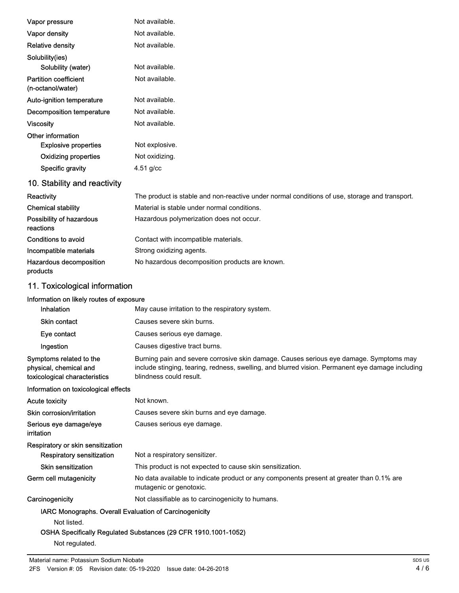| Vapor pressure                                    | Not available.                                                                                |
|---------------------------------------------------|-----------------------------------------------------------------------------------------------|
| Vapor density                                     | Not available.                                                                                |
| <b>Relative density</b>                           | Not available.                                                                                |
| Solubility(ies)                                   |                                                                                               |
| Solubility (water)                                | Not available.                                                                                |
| <b>Partition coefficient</b><br>(n-octanol/water) | Not available.                                                                                |
| Auto-ignition temperature                         | Not available.                                                                                |
| Decomposition temperature                         | Not available.                                                                                |
| <b>Viscosity</b>                                  | Not available.                                                                                |
| Other information                                 |                                                                                               |
| <b>Explosive properties</b>                       | Not explosive.                                                                                |
| <b>Oxidizing properties</b>                       | Not oxidizing.                                                                                |
| Specific gravity                                  | $4.51$ g/cc                                                                                   |
| 10. Stability and reactivity                      |                                                                                               |
| Reactivity                                        | The product is stable and non-reactive under normal conditions of use, storage and transport. |
| <b>Chemical stability</b>                         | Material is stable under normal conditions.                                                   |
| Possibility of hazardous<br>reactions             | Hazardous polymerization does not occur.                                                      |
| <b>Conditions to avoid</b>                        | Contact with incompatible materials.                                                          |
| Incompatible materials                            | Strong oxidizing agents.                                                                      |
| Hazardous decomposition<br>products               | No hazardous decomposition products are known.                                                |

## 11. Toxicological information

| Information on likely routes of exposure |  |  |
|------------------------------------------|--|--|
|------------------------------------------|--|--|

| Inhalation                                                                         | May cause irritation to the respiratory system.                                                                                                                                                                       |
|------------------------------------------------------------------------------------|-----------------------------------------------------------------------------------------------------------------------------------------------------------------------------------------------------------------------|
| <b>Skin contact</b>                                                                | Causes severe skin burns.                                                                                                                                                                                             |
| Eye contact                                                                        | Causes serious eye damage.                                                                                                                                                                                            |
| Ingestion                                                                          | Causes digestive tract burns.                                                                                                                                                                                         |
| Symptoms related to the<br>physical, chemical and<br>toxicological characteristics | Burning pain and severe corrosive skin damage. Causes serious eye damage. Symptoms may<br>include stinging, tearing, redness, swelling, and blurred vision. Permanent eye damage including<br>blindness could result. |
| Information on toxicological effects                                               |                                                                                                                                                                                                                       |
| <b>Acute toxicity</b>                                                              | Not known.                                                                                                                                                                                                            |
| Skin corrosion/irritation                                                          | Causes severe skin burns and eye damage.                                                                                                                                                                              |
| Serious eye damage/eye<br>irritation                                               | Causes serious eye damage.                                                                                                                                                                                            |
| Respiratory or skin sensitization                                                  |                                                                                                                                                                                                                       |
| Respiratory sensitization                                                          | Not a respiratory sensitizer.                                                                                                                                                                                         |
| Skin sensitization                                                                 | This product is not expected to cause skin sensitization.                                                                                                                                                             |
| Germ cell mutagenicity                                                             | No data available to indicate product or any components present at greater than 0.1% are<br>mutagenic or genotoxic.                                                                                                   |
| Carcinogenicity                                                                    | Not classifiable as to carcinogenicity to humans.                                                                                                                                                                     |
| IARC Monographs. Overall Evaluation of Carcinogenicity                             |                                                                                                                                                                                                                       |
| Not listed.                                                                        |                                                                                                                                                                                                                       |
|                                                                                    | OSHA Specifically Regulated Substances (29 CFR 1910.1001-1052)                                                                                                                                                        |

Not regulated.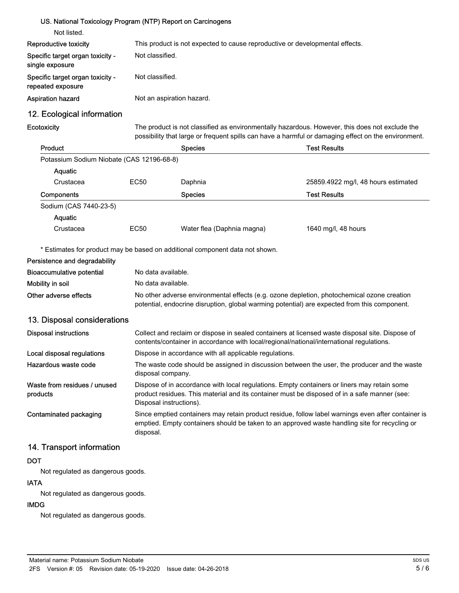| US. National Toxicology Program (NTP) Report on Carcinogens |                 |                           |                                                                                                                                                                                                       |
|-------------------------------------------------------------|-----------------|---------------------------|-------------------------------------------------------------------------------------------------------------------------------------------------------------------------------------------------------|
| Not listed.                                                 |                 |                           |                                                                                                                                                                                                       |
| Reproductive toxicity                                       |                 |                           | This product is not expected to cause reproductive or developmental effects.                                                                                                                          |
| Specific target organ toxicity -<br>single exposure         | Not classified. |                           |                                                                                                                                                                                                       |
| Specific target organ toxicity -<br>repeated exposure       | Not classified. |                           |                                                                                                                                                                                                       |
| <b>Aspiration hazard</b>                                    |                 | Not an aspiration hazard. |                                                                                                                                                                                                       |
| 12. Ecological information                                  |                 |                           |                                                                                                                                                                                                       |
| <b>Ecotoxicity</b>                                          |                 |                           | The product is not classified as environmentally hazardous. However, this does not exclude the<br>possibility that large or frequent spills can have a harmful or damaging effect on the environment. |
| Product                                                     |                 | <b>Species</b>            | <b>Test Results</b>                                                                                                                                                                                   |
| Potassium Sodium Niobate (CAS 12196-68-8)                   |                 |                           |                                                                                                                                                                                                       |
| <b>Aguatic</b>                                              |                 |                           |                                                                                                                                                                                                       |
| Crustacea                                                   | EC50            | Daphnia                   | 25859.4922 mg/l, 48 hours estimated                                                                                                                                                                   |

| Components             |      | <b>Species</b>             | <b>Test Results</b> |  |
|------------------------|------|----------------------------|---------------------|--|
| Sodium (CAS 7440-23-5) |      |                            |                     |  |
| Aguatic                |      |                            |                     |  |
| Crustacea              | EC50 | Water flea (Daphnia magna) | 1640 mg/l, 48 hours |  |

\* Estimates for product may be based on additional component data not shown.

| Persistence and degradability            |                                                                                                                                                                                                                        |
|------------------------------------------|------------------------------------------------------------------------------------------------------------------------------------------------------------------------------------------------------------------------|
| Bioaccumulative potential                | No data available.                                                                                                                                                                                                     |
| Mobility in soil                         | No data available.                                                                                                                                                                                                     |
| Other adverse effects                    | No other adverse environmental effects (e.g. ozone depletion, photochemical ozone creation<br>potential, endocrine disruption, global warming potential) are expected from this component.                             |
| 13. Disposal considerations              |                                                                                                                                                                                                                        |
| <b>Disposal instructions</b>             | Collect and reclaim or dispose in sealed containers at licensed waste disposal site. Dispose of<br>contents/container in accordance with local/regional/national/international regulations.                            |
| Local disposal regulations               | Dispose in accordance with all applicable regulations.                                                                                                                                                                 |
| Hazardous waste code                     | The waste code should be assigned in discussion between the user, the producer and the waste<br>disposal company.                                                                                                      |
| Waste from residues / unused<br>products | Dispose of in accordance with local regulations. Empty containers or liners may retain some<br>product residues. This material and its container must be disposed of in a safe manner (see:<br>Disposal instructions). |
| Contaminated packaging                   | Since emptied containers may retain product residue, follow label warnings even after container is<br>emptied. Empty containers should be taken to an approved waste handling site for recycling or<br>disposal.       |

### 14. Transport information

### DOT

Not regulated as dangerous goods.

### IATA

Not regulated as dangerous goods.

### IMDG

Not regulated as dangerous goods.